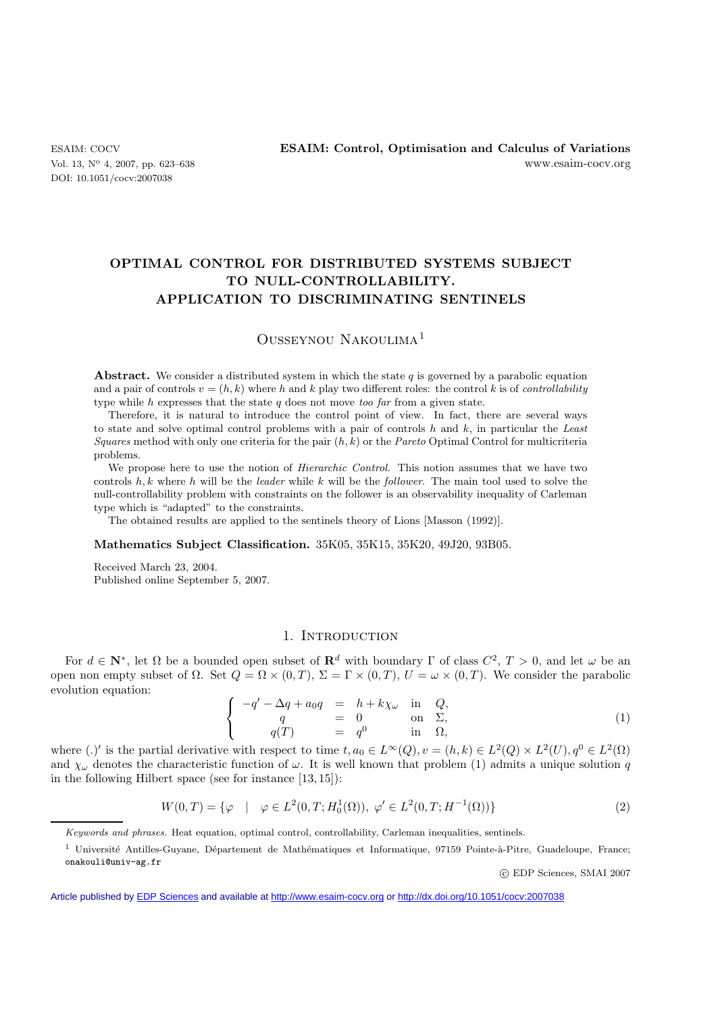DOI: 10.1051/cocv:2007038

# **OPTIMAL CONTROL FOR DISTRIBUTED SYSTEMS SUBJECT TO NULL-CONTROLLABILITY. APPLICATION TO DISCRIMINATING SENTINELS**

## Ousseynou Nakoulima<sup>1</sup>

**Abstract.** We consider a distributed system in which the state  $q$  is governed by a parabolic equation and a pair of controls  $v = (h, k)$  where h and k play two different roles: the control k is of *controllability* type while *h* expresses that the state *q* does not move *too far* from a given state.

Therefore, it is natural to introduce the control point of view. In fact, there are several ways to state and solve optimal control problems with a pair of controls *h* and *k*, in particular the *Least Squares* method with only one criteria for the pair (*h, k*) or the *Pareto* Optimal Control for multicriteria problems.

We propose here to use the notion of *Hierarchic Control*. This notion assumes that we have two controls *h, k* where *h* will be the *leader* while *k* will be the *follower*. The main tool used to solve the null-controllability problem with constraints on the follower is an observability inequality of Carleman type which is "adapted" to the constraints.

The obtained results are applied to the sentinels theory of Lions [Masson (1992)].

### **Mathematics Subject Classification.** 35K05, 35K15, 35K20, 49J20, 93B05.

Received March 23, 2004. Published online September 5, 2007.

## 1. INTRODUCTION

For  $d \in \mathbb{N}^*$ , let  $\Omega$  be a bounded open subset of  $\mathbb{R}^d$  with boundary  $\Gamma$  of class  $C^2$ ,  $T > 0$ , and let  $\omega$  be an open non empty subset of  $\Omega$ . Set  $Q = \Omega \times (0,T)$ ,  $\Sigma = \Gamma \times (0,T)$ ,  $U = \omega \times (0,T)$ . We consider the parabolic evolution equation:

$$
\begin{cases}\n-q' - \Delta q + a_0 q &= h + k \chi_\omega \text{ in } Q, \\
q &= 0 \text{ on } \Sigma, \\
q(T) &= q^0 \text{ in } \Omega,\n\end{cases}
$$
\n(1)

where (.)' is the partial derivative with respect to time  $t, a_0 \in L^{\infty}(Q)$ ,  $v = (h, k) \in L^2(Q) \times L^2(U)$ ,  $q^0 \in L^2(\Omega)$ and  $\chi_{\omega}$  denotes the characteristic function of  $\omega$ . It is well known that problem (1) admits a unique solution q in the following Hilbert space (see for instance [13, 15]):

$$
W(0,T) = \{ \varphi \mid \varphi \in L^{2}(0,T;H_{0}^{1}(\Omega)), \varphi' \in L^{2}(0,T;H^{-1}(\Omega)) \}
$$
\n
$$
(2)
$$

c EDP Sciences, SMAI 2007

Keywords and phrases. Heat equation, optimal control, controllability, Carleman inequalities, sentinels.

 $1$  Université Antilles-Guyane, Département de Mathématiques et Informatique, 97159 Pointe-à-Pitre, Guadeloupe, France; onakouli@univ-ag.fr

Article published by [EDP Sciences](http://www.edpsciences.org) and available at<http://www.esaim-cocv.org> or <http://dx.doi.org/10.1051/cocv:2007038>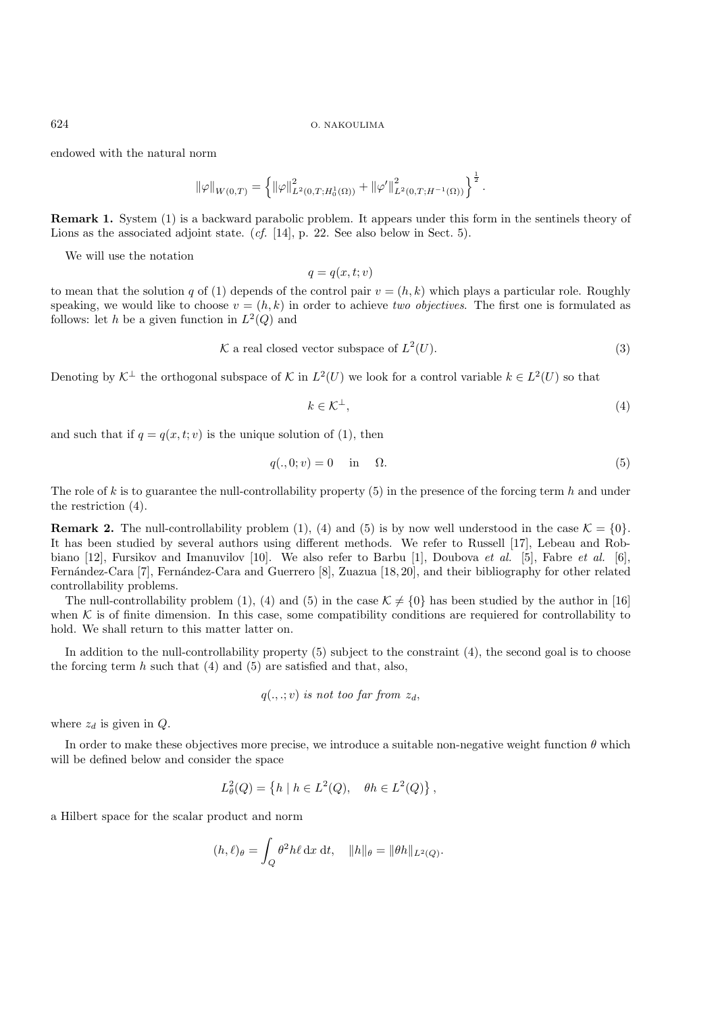endowed with the natural norm

$$
\|\varphi\|_{W(0,T)} = \left\{ \|\varphi\|_{L^2(0,T;H^1_0(\Omega))}^2 + \|\varphi'\|_{L^2(0,T;H^{-1}(\Omega))}^2 \right\}^{\frac{1}{2}}.
$$

**Remark 1.** System (1) is a backward parabolic problem. It appears under this form in the sentinels theory of Lions as the associated adjoint state. *(cf.* [14], p. 22. See also below in Sect. 5).

We will use the notation

$$
q = q(x, t; v)
$$

to mean that the solution q of (1) depends of the control pair  $v = (h, k)$  which plays a particular role. Roughly speaking, we would like to choose  $v = (h, k)$  in order to achieve *two objectives*. The first one is formulated as follows: let h be a given function in  $L^2(Q)$  and

$$
\mathcal{K} \text{ a real closed vector subspace of } L^2(U). \tag{3}
$$

Denoting by  $\mathcal{K}^{\perp}$  the orthogonal subspace of K in  $L^2(U)$  we look for a control variable  $k \in L^2(U)$  so that

$$
k \in \mathcal{K}^{\perp},\tag{4}
$$

and such that if  $q = q(x, t; v)$  is the unique solution of (1), then

$$
q(.,0;v) = 0 \quad \text{in} \quad \Omega. \tag{5}
$$

The role of k is to guarantee the null-controllability property  $(5)$  in the presence of the forcing term h and under the restriction (4).

**Remark 2.** The null-controllability problem (1), (4) and (5) is by now well understood in the case  $\mathcal{K} = \{0\}$ . It has been studied by several authors using different methods. We refer to Russell [17], Lebeau and Robbiano [12], Fursikov and Imanuvilov [10]. We also refer to Barbu [1], Doubova *et al.* [5], Fabre *et al.* [6], Fernández-Cara [7], Fernández-Cara and Guerrero [8], Zuazua [18, 20], and their bibliography for other related controllability problems.

The null-controllability problem (1), (4) and (5) in the case  $\mathcal{K} \neq \{0\}$  has been studied by the author in [16] when  $K$  is of finite dimension. In this case, some compatibility conditions are requiered for controllability to hold. We shall return to this matter latter on.

In addition to the null-controllability property (5) subject to the constraint (4), the second goal is to choose the forcing term  $h$  such that  $(4)$  and  $(5)$  are satisfied and that, also,

$$
q(.,.;v)
$$
 is not too far from  $z_d$ ,

where  $z_d$  is given in  $Q$ .

In order to make these objectives more precise, we introduce a suitable non-negative weight function  $\theta$  which will be defined below and consider the space

$$
L^2_{\theta}(Q) = \left\{ h \mid h \in L^2(Q), \quad \theta h \in L^2(Q) \right\},\
$$

a Hilbert space for the scalar product and norm

$$
(h,\ell)_{\theta} = \int_{Q} \theta^{2} h\ell \,dx \,dt, \quad \|h\|_{\theta} = \|\theta h\|_{L^{2}(Q)}.
$$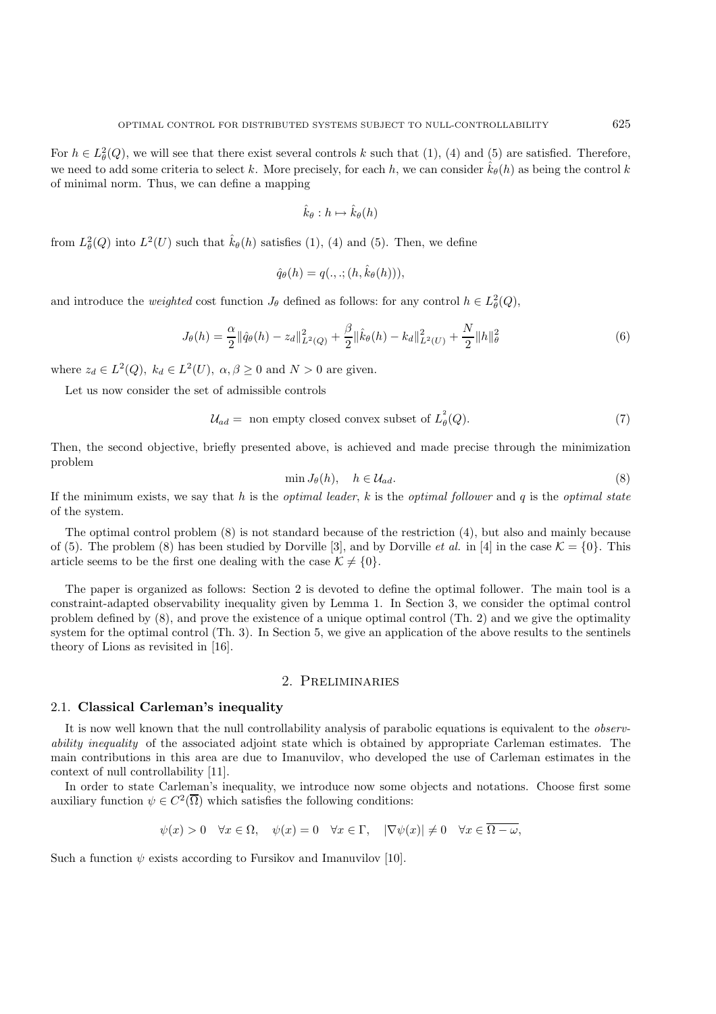For  $h \in L^2_{\theta}(Q)$ , we will see that there exist several controls k such that  $(1)$ ,  $(4)$  and  $(5)$  are satisfied. Therefore, we need to add some criteria to select k. More precisely, for each h, we can consider  $\hat{k}_{\theta}(h)$  as being the control k of minimal norm. Thus, we can define a mapping

$$
\hat{k}_{\theta}: h \mapsto \hat{k}_{\theta}(h)
$$

from  $L^2_{\theta}(Q)$  into  $L^2(U)$  such that  $\hat{k}_{\theta}(h)$  satisfies (1), (4) and (5). Then, we define

$$
\hat{q}_{\theta}(h) = q(.,.;(h,\hat{k}_{\theta}(h))),
$$

and introduce the *weighted* cost function  $J_{\theta}$  defined as follows: for any control  $h \in L^2_{\theta}(Q)$ ,

$$
J_{\theta}(h) = \frac{\alpha}{2} ||\hat{q}_{\theta}(h) - z_d||_{L^2(Q)}^2 + \frac{\beta}{2} ||\hat{k}_{\theta}(h) - k_d||_{L^2(U)}^2 + \frac{N}{2} ||h||_{\theta}^2
$$
\n(6)

where  $z_d \in L^2(Q)$ ,  $k_d \in L^2(U)$ ,  $\alpha, \beta \ge 0$  and  $N > 0$  are given.

Let us now consider the set of admissible controls

$$
\mathcal{U}_{ad} = \text{ non empty closed convex subset of } L^2_{\theta}(Q). \tag{7}
$$

Then, the second objective, briefly presented above, is achieved and made precise through the minimization problem

$$
\min J_{\theta}(h), \quad h \in \mathcal{U}_{ad}.\tag{8}
$$

If the minimum exists, we say that h is the *optimal leader*, k is the *optimal follower* and q is the *optimal state* of the system.

The optimal control problem (8) is not standard because of the restriction (4), but also and mainly because of (5). The problem (8) has been studied by Dorville [3], and by Dorville *et al.* in [4] in the case  $\mathcal{K} = \{0\}$ . This article seems to be the first one dealing with the case  $\mathcal{K} \neq \{0\}$ .

The paper is organized as follows: Section 2 is devoted to define the optimal follower. The main tool is a constraint-adapted observability inequality given by Lemma 1. In Section 3, we consider the optimal control problem defined by (8), and prove the existence of a unique optimal control (Th. 2) and we give the optimality system for the optimal control (Th. 3). In Section 5, we give an application of the above results to the sentinels theory of Lions as revisited in [16].

## 2. Preliminaries

#### 2.1. **Classical Carleman's inequality**

It is now well known that the null controllability analysis of parabolic equations is equivalent to the *observability inequality* of the associated adjoint state which is obtained by appropriate Carleman estimates. The main contributions in this area are due to Imanuvilov, who developed the use of Carleman estimates in the context of null controllability [11].

In order to state Carleman's inequality, we introduce now some objects and notations. Choose first some auxiliary function  $\psi \in C^2(\overline{\Omega})$  which satisfies the following conditions:

$$
\psi(x) > 0 \quad \forall x \in \Omega, \quad \psi(x) = 0 \quad \forall x \in \Gamma, \quad |\nabla \psi(x)| \neq 0 \quad \forall x \in \overline{\Omega - \omega},
$$

Such a function  $\psi$  exists according to Fursikov and Imanuvilov [10].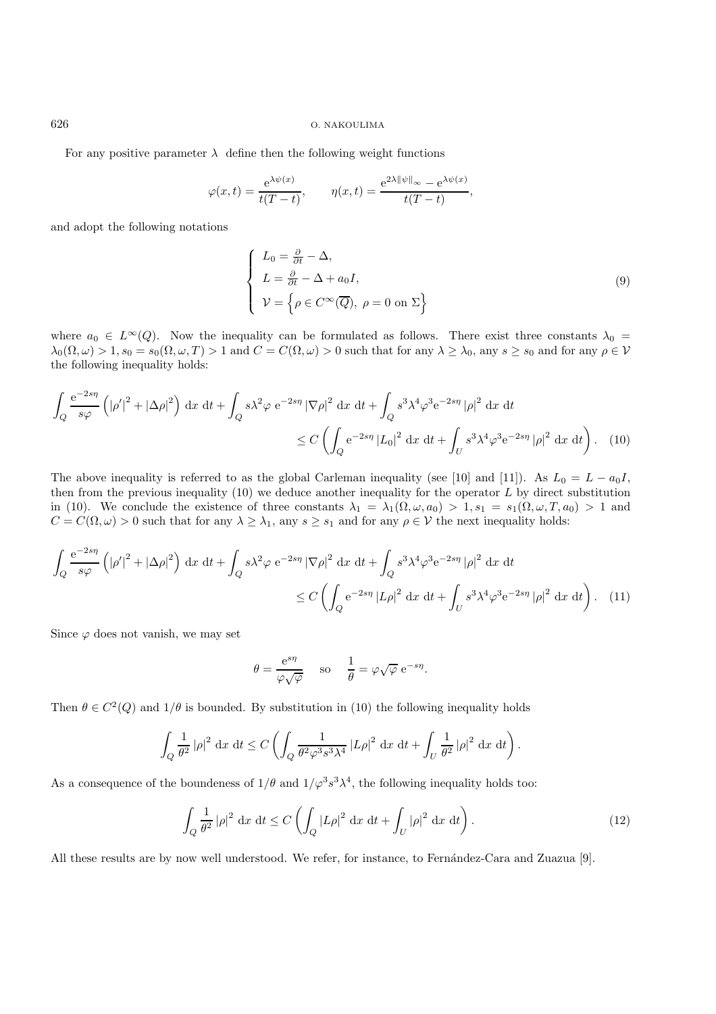For any positive parameter  $\lambda$  define then the following weight functions

$$
\varphi(x,t) = \frac{e^{\lambda \psi(x)}}{t(T-t)}, \qquad \eta(x,t) = \frac{e^{2\lambda \|\psi\|_{\infty}} - e^{\lambda \psi(x)}}{t(T-t)},
$$

and adopt the following notations

$$
\begin{cases}\nL_0 = \frac{\partial}{\partial t} - \Delta, \\
L = \frac{\partial}{\partial t} - \Delta + a_0 I, \\
\mathcal{V} = \left\{ \rho \in C^\infty(\overline{Q}), \ \rho = 0 \text{ on } \Sigma \right\}\n\end{cases}
$$
\n(9)

where  $a_0 \in L^{\infty}(Q)$ . Now the inequality can be formulated as follows. There exist three constants  $\lambda_0 =$  $\lambda_0(\Omega,\omega) > 1$ ,  $s_0 = s_0(\Omega,\omega,T) > 1$  and  $C = C(\Omega,\omega) > 0$  such that for any  $\lambda \geq \lambda_0$ , any  $s \geq s_0$  and for any  $\rho \in \mathcal{V}$ the following inequality holds:

$$
\int_{Q} \frac{e^{-2s\eta}}{s\varphi} \left( \left| \rho' \right|^2 + \left| \Delta \rho \right|^2 \right) dx dt + \int_{Q} s\lambda^2 \varphi e^{-2s\eta} \left| \nabla \rho \right|^2 dx dt + \int_{Q} s^3 \lambda^4 \varphi^3 e^{-2s\eta} \left| \rho \right|^2 dx dt
$$
  

$$
\leq C \left( \int_{Q} e^{-2s\eta} \left| L_0 \right|^2 dx dt + \int_{U} s^3 \lambda^4 \varphi^3 e^{-2s\eta} \left| \rho \right|^2 dx dt \right). \quad (10)
$$

The above inequality is referred to as the global Carleman inequality (see [10] and [11]). As  $L_0 = L - a_0 I$ , then from the previous inequality  $(10)$  we deduce another inequality for the operator  $L$  by direct substitution in (10). We conclude the existence of three constants  $\lambda_1 = \lambda_1(\Omega, \omega, a_0) > 1$ ,  $s_1 = s_1(\Omega, \omega, T, a_0) > 1$  and  $C = C(\Omega, \omega) > 0$  such that for any  $\lambda \geq \lambda_1$ , any  $s \geq s_1$  and for any  $\rho \in \mathcal{V}$  the next inequality holds:

$$
\int_{Q} \frac{e^{-2s\eta}}{s\varphi} \left( \left| \rho' \right|^2 + \left| \Delta \rho \right|^2 \right) dx dt + \int_{Q} s\lambda^2 \varphi e^{-2s\eta} \left| \nabla \rho \right|^2 dx dt + \int_{Q} s^3 \lambda^4 \varphi^3 e^{-2s\eta} \left| \rho \right|^2 dx dt
$$
  

$$
\leq C \left( \int_{Q} e^{-2s\eta} \left| L\rho \right|^2 dx dt + \int_{U} s^3 \lambda^4 \varphi^3 e^{-2s\eta} \left| \rho \right|^2 dx dt \right). \quad (11)
$$

Since  $\varphi$  does not vanish, we may set

$$
\theta = \frac{e^{s\eta}}{\varphi\sqrt{\varphi}}
$$
 so  $\frac{1}{\theta} = \varphi\sqrt{\varphi} e^{-s\eta}$ .

Then  $\theta \in C^2(Q)$  and  $1/\theta$  is bounded. By substitution in (10) the following inequality holds

$$
\int_{Q} \frac{1}{\theta^2} |\rho|^2 dx dt \le C \left( \int_{Q} \frac{1}{\theta^2 \varphi^3 s^3 \lambda^4} |L\rho|^2 dx dt + \int_{U} \frac{1}{\theta^2} |\rho|^2 dx dt \right).
$$

As a consequence of the boundeness of  $1/\theta$  and  $1/\varphi^3 s^3 \lambda^4$ , the following inequality holds too:

$$
\int_{Q} \frac{1}{\theta^2} |\rho|^2 dx dt \le C \left( \int_{Q} |L\rho|^2 dx dt + \int_{U} |\rho|^2 dx dt \right).
$$
\n(12)

All these results are by now well understood. We refer, for instance, to Fernández-Cara and Zuazua [9].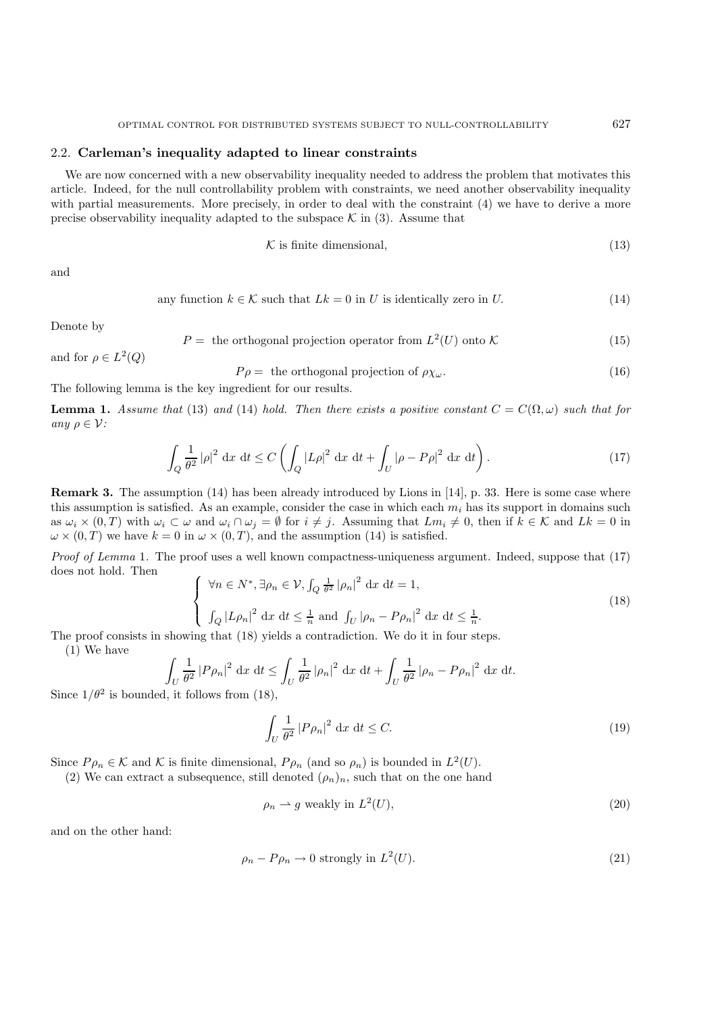### 2.2. **Carleman's inequality adapted to linear constraints**

We are now concerned with a new observability inequality needed to address the problem that motivates this article. Indeed, for the null controllability problem with constraints, we need another observability inequality with partial measurements. More precisely, in order to deal with the constraint (4) we have to derive a more precise observability inequality adapted to the subspace  $\mathcal K$  in (3). Assume that

$$
\mathcal{K} \text{ is finite dimensional},\tag{13}
$$

and

any function 
$$
k \in \mathcal{K}
$$
 such that  $Lk = 0$  in U is identically zero in U. (14)

Denote by

$$
P = \text{ the orthogonal projection operator from } L^2(U) \text{ onto } \mathcal{K} \tag{15}
$$

and for  $\rho \in L^2(Q)$ 

$$
P\rho = \text{ the orthogonal projection of } \rho \chi_{\omega}. \tag{16}
$$

The following lemma is the key ingredient for our results.

**Lemma 1.** *Assume that* (13) *and* (14) *hold. Then there exists a positive constant*  $C = C(\Omega, \omega)$  *such that for any*  $\rho \in \mathcal{V}$ *:* 

$$
\int_{Q} \frac{1}{\theta^2} |\rho|^2 dx dt \le C \left( \int_{Q} |L\rho|^2 dx dt + \int_{U} |\rho - P\rho|^2 dx dt \right).
$$
\n(17)

**Remark 3.** The assumption (14) has been already introduced by Lions in [14], p. 33. Here is some case where this assumption is satisfied. As an example, consider the case in which each  $m_i$  has its support in domains such as  $\omega_i \times (0,T)$  with  $\omega_i \subset \omega$  and  $\omega_i \cap \omega_j = \emptyset$  for  $i \neq j$ . Assuming that  $Lm_i \neq 0$ , then if  $k \in \mathcal{K}$  and  $Lk = 0$  in  $\omega \times (0,T)$  we have  $k = 0$  in  $\omega \times (0,T)$ , and the assumption (14) is satisfied.

*Proof of Lemma* 1. The proof uses a well known compactness-uniqueness argument. Indeed, suppose that (17) does not hold. Then

$$
\begin{cases} \forall n \in N^*, \exists \rho_n \in \mathcal{V}, \int_Q \frac{1}{\theta^2} |\rho_n|^2 \, \mathrm{d}x \, \mathrm{d}t = 1, \\ \int_Q |L\rho_n|^2 \, \mathrm{d}x \, \mathrm{d}t \le \frac{1}{n} \text{ and } \int_U |\rho_n - P\rho_n|^2 \, \mathrm{d}x \, \mathrm{d}t \le \frac{1}{n}. \end{cases} \tag{18}
$$

The proof consists in showing that (18) yields a contradiction. We do it in four steps.

(1) We have

$$
\int_U \frac{1}{\theta^2} |P\rho_n|^2 \, \mathrm{d}x \, \mathrm{d}t \le \int_U \frac{1}{\theta^2} |\rho_n|^2 \, \mathrm{d}x \, \mathrm{d}t + \int_U \frac{1}{\theta^2} |\rho_n - P\rho_n|^2 \, \mathrm{d}x \, \mathrm{d}t.
$$

Since  $1/\theta^2$  is bounded, it follows from (18),

$$
\int_{U} \frac{1}{\theta^2} |P\rho_n|^2 \, \mathrm{d}x \, \mathrm{d}t \le C. \tag{19}
$$

Since  $P \rho_n \in \mathcal{K}$  and  $\mathcal{K}$  is finite dimensional,  $P \rho_n$  (and so  $\rho_n$ ) is bounded in  $L^2(U)$ .

(2) We can extract a subsequence, still denoted  $(\rho_n)_n$ , such that on the one hand

$$
\rho_n \rightharpoonup g \text{ weakly in } L^2(U),\tag{20}
$$

and on the other hand:

$$
\rho_n - P\rho_n \to 0 \text{ strongly in } L^2(U). \tag{21}
$$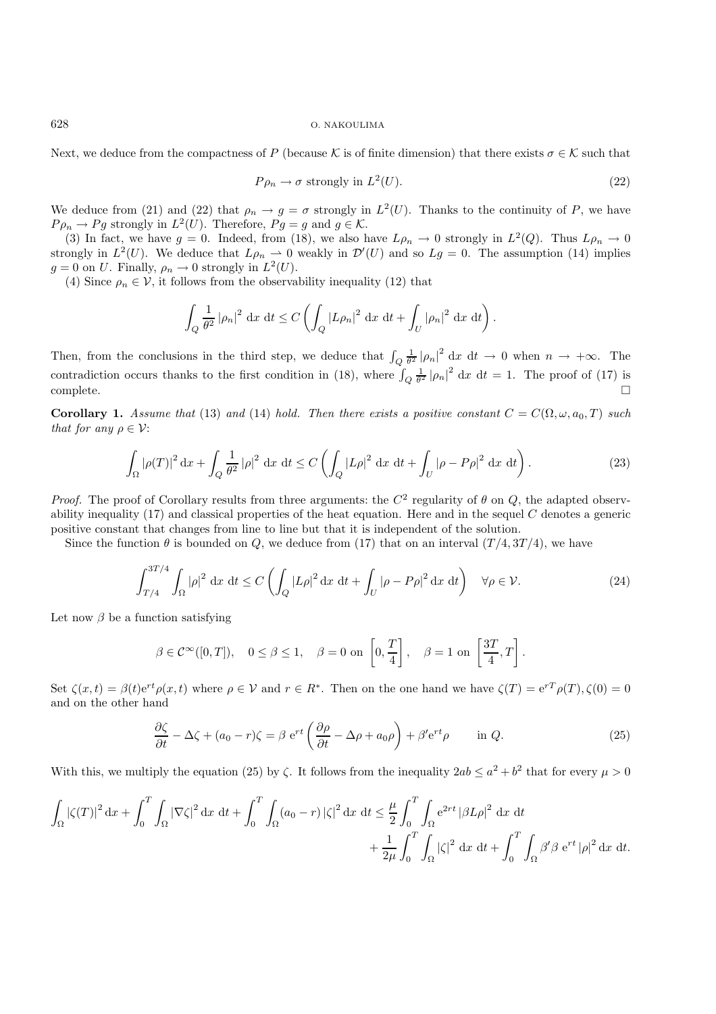Next, we deduce from the compactness of P (because K is of finite dimension) that there exists  $\sigma \in \mathcal{K}$  such that

$$
P\rho_n \to \sigma \text{ strongly in } L^2(U). \tag{22}
$$

We deduce from (21) and (22) that  $\rho_n \to g = \sigma$  strongly in  $L^2(U)$ . Thanks to the continuity of P, we have  $P \rho_n \to P g$  strongly in  $L^2(U)$ . Therefore,  $P g = g$  and  $g \in \mathcal{K}$ .

(3) In fact, we have  $g = 0$ . Indeed, from (18), we also have  $L\rho_n \to 0$  strongly in  $L^2(Q)$ . Thus  $L\rho_n \to 0$ strongly in  $L^2(U)$ . We deduce that  $L\rho_n \rightharpoonup 0$  weakly in  $\mathcal{D}'(U)$  and so  $Lg = 0$ . The assumption (14) implies  $g = 0$  on U. Finally,  $\rho_n \to 0$  strongly in  $L^2(U)$ .

(4) Since  $\rho_n \in \mathcal{V}$ , it follows from the observability inequality (12) that

$$
\int_{Q} \frac{1}{\theta^2} |\rho_n|^2 dx dt \le C \left( \int_{Q} |L\rho_n|^2 dx dt + \int_{U} |\rho_n|^2 dx dt \right).
$$

Then, from the conclusions in the third step, we deduce that  $\int_{Q} \frac{1}{\theta^2} |\rho_n|^2 dx dt \to 0$  when  $n \to +\infty$ . The contradiction occurs thanks to the first condition in (18), where  $\int_{Q} \frac{1}{\theta^2} |\rho_n|^2 dx dt = 1$ . The proof of (17) is  $\Box$ complete.

**Corollary 1.** *Assume that* (13) *and* (14) *hold. Then there exists a positive constant*  $C = C(\Omega, \omega, a_0, T)$  *such that for any*  $\rho \in \mathcal{V}$ :

$$
\int_{\Omega} |\rho(T)|^2 \, \mathrm{d}x + \int_{Q} \frac{1}{\theta^2} |\rho|^2 \, \mathrm{d}x \, \mathrm{d}t \le C \left( \int_{Q} |L\rho|^2 \, \mathrm{d}x \, \mathrm{d}t + \int_{U} |\rho - P\rho|^2 \, \mathrm{d}x \, \mathrm{d}t \right). \tag{23}
$$

*Proof.* The proof of Corollary results from three arguments: the  $C^2$  regularity of  $\theta$  on  $Q$ , the adapted observability inequality  $(17)$  and classical properties of the heat equation. Here and in the sequel C denotes a generic positive constant that changes from line to line but that it is independent of the solution.

Since the function  $\theta$  is bounded on Q, we deduce from (17) that on an interval  $(T/4, 3T/4)$ , we have

$$
\int_{T/4}^{3T/4} \int_{\Omega} |\rho|^2 \, \mathrm{d}x \, \mathrm{d}t \le C \left( \int_{Q} |L\rho|^2 \, \mathrm{d}x \, \mathrm{d}t + \int_{U} |\rho - P\rho|^2 \, \mathrm{d}x \, \mathrm{d}t \right) \quad \forall \rho \in \mathcal{V}.
$$

Let now  $\beta$  be a function satisfying

$$
\beta \in \mathcal{C}^{\infty}([0,T]), \quad 0 \le \beta \le 1, \quad \beta = 0 \text{ on } \left[0, \frac{T}{4}\right], \quad \beta = 1 \text{ on } \left[\frac{3T}{4}, T\right].
$$

Set  $\zeta(x,t) = \beta(t)e^{rt}\rho(x,t)$  where  $\rho \in \mathcal{V}$  and  $r \in R^*$ . Then on the one hand we have  $\zeta(T) = e^{rT}\rho(T), \zeta(0) = 0$ and on the other hand

$$
\frac{\partial \zeta}{\partial t} - \Delta \zeta + (a_0 - r)\zeta = \beta e^{rt} \left( \frac{\partial \rho}{\partial t} - \Delta \rho + a_0 \rho \right) + \beta' e^{rt} \rho \qquad \text{in } Q.
$$
 (25)

With this, we multiply the equation (25) by  $\zeta$ . It follows from the inequality  $2ab \le a^2 + b^2$  that for every  $\mu > 0$ 

$$
\int_{\Omega} |\zeta(T)|^2 dx + \int_0^T \int_{\Omega} |\nabla \zeta|^2 dx dt + \int_0^T \int_{\Omega} (a_0 - r) |\zeta|^2 dx dt \leq \frac{\mu}{2} \int_0^T \int_{\Omega} e^{2rt} |\beta L \rho|^2 dx dt + \frac{1}{2\mu} \int_0^T \int_{\Omega} |\zeta|^2 dx dt + \int_0^T \int_{\Omega} \beta' \beta e^{rt} |\rho|^2 dx dt.
$$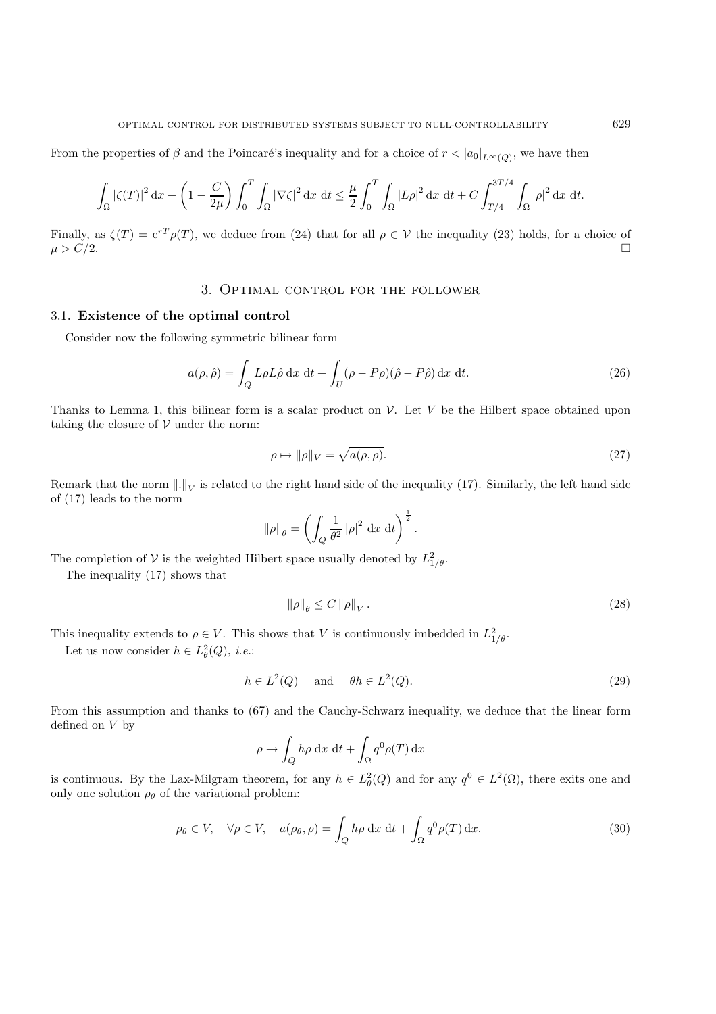From the properties of  $\beta$  and the Poincaré's inequality and for a choice of  $r < |a_0|_{L^{\infty}(Q)}$ , we have then

$$
\int_{\Omega} |\zeta(T)|^2 dx + \left(1 - \frac{C}{2\mu}\right) \int_0^T \int_{\Omega} |\nabla \zeta|^2 dx dt \leq \frac{\mu}{2} \int_0^T \int_{\Omega} |L\rho|^2 dx dt + C \int_{T/4}^{3T/4} \int_{\Omega} |\rho|^2 dx dt.
$$

Finally, as  $\zeta(T) = e^{rT} \rho(T)$ , we deduce from (24) that for all  $\rho \in V$  the inequality (23) holds, for a choice of  $\mu > C/2.$ 

## 3. Optimal control for the follower

## 3.1. **Existence of the optimal control**

Consider now the following symmetric bilinear form

$$
a(\rho, \hat{\rho}) = \int_{Q} L\rho L\hat{\rho} \,dx \,dt + \int_{U} (\rho - P\rho)(\hat{\rho} - P\hat{\rho}) \,dx \,dt.
$$
 (26)

Thanks to Lemma 1, this bilinear form is a scalar product on  $\mathcal V$ . Let V be the Hilbert space obtained upon taking the closure of  $V$  under the norm:

$$
\rho \mapsto \|\rho\|_{V} = \sqrt{a(\rho, \rho)}.\tag{27}
$$

Remark that the norm  $\|.\|_V$  is related to the right hand side of the inequality (17). Similarly, the left hand side of (17) leads to the norm

$$
\|\rho\|_{\theta} = \left(\int_Q \frac{1}{\theta^2} |\rho|^2 \, \mathrm{d}x \, \mathrm{d}t\right)^{\frac{1}{2}}.
$$

The completion of V is the weighted Hilbert space usually denoted by  $L_{1/\theta}^2$ .

The inequality (17) shows that

$$
\|\rho\|_{\theta} \le C \|\rho\|_{V} \,. \tag{28}
$$

This inequality extends to  $\rho \in V$ . This shows that V is continuously imbedded in  $L^2_{1/\theta}$ .

Let us now consider  $h \in L^2_{\theta}(Q)$ , *i.e.*:

$$
h \in L^2(Q) \quad \text{and} \quad \theta h \in L^2(Q). \tag{29}
$$

From this assumption and thanks to (67) and the Cauchy-Schwarz inequality, we deduce that the linear form defined on V by

$$
\rho \to \int_Q h \rho \, dx \, dt + \int_{\Omega} q^0 \rho(T) \, dx
$$

is continuous. By the Lax-Milgram theorem, for any  $h \in L^2_{\theta}(Q)$  and for any  $q^0 \in L^2(\Omega)$ , there exits one and only one solution  $\rho_{\theta}$  of the variational problem:

$$
\rho_{\theta} \in V, \quad \forall \rho \in V, \quad a(\rho_{\theta}, \rho) = \int_{Q} h\rho \, dx \, dt + \int_{\Omega} q^{0} \rho(T) \, dx. \tag{30}
$$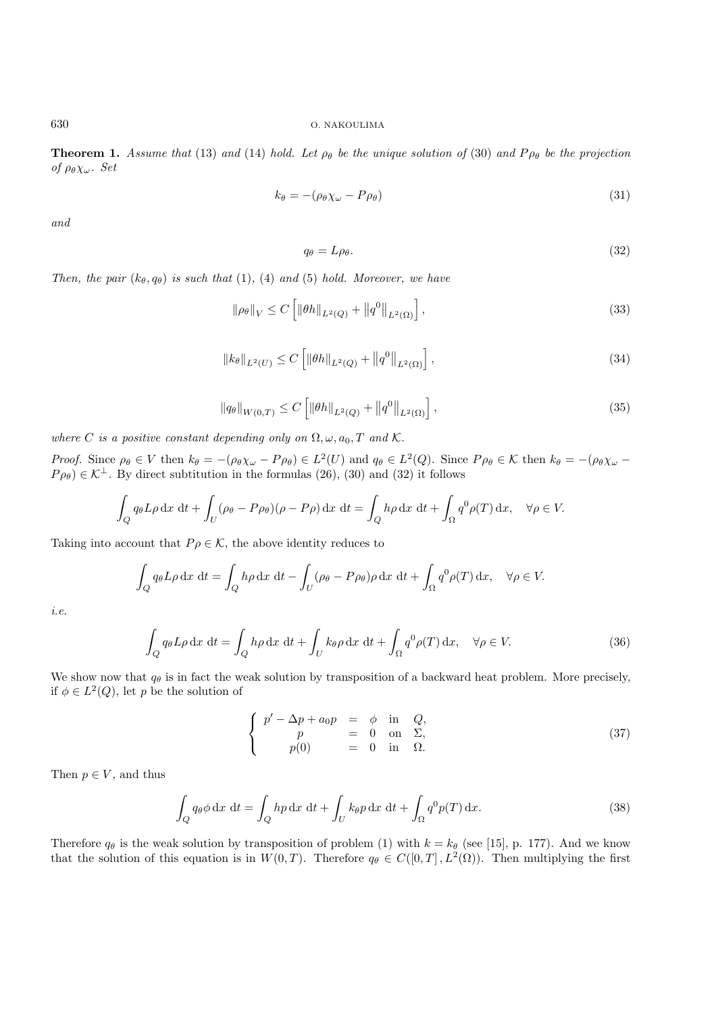**Theorem 1.** *Assume that* (13) *and* (14) *hold. Let*  $\rho_{\theta}$  *be the unique solution of* (30) *and*  $P_{\rho_{\theta}}$  *be the projection of*  $\rho_{\theta} \chi_{\omega}$ *. Set* 

$$
k_{\theta} = -(\rho_{\theta} \chi_{\omega} - P \rho_{\theta}) \tag{31}
$$

*and*

$$
q_{\theta} = L\rho_{\theta}.\tag{32}
$$

*Then, the pair*  $(k_{\theta}, q_{\theta})$  *is such that* (1), (4) *and* (5) *hold. Moreover, we have* 

$$
\|\rho_{\theta}\|_{V} \le C \left[ \|\theta h\|_{L^{2}(Q)} + \|q^{0}\|_{L^{2}(\Omega)} \right],
$$
\n(33)

$$
||k_{\theta}||_{L^{2}(U)} \leq C \left[ ||\theta h||_{L^{2}(Q)} + ||q^{0}||_{L^{2}(\Omega)} \right],
$$
\n(34)

$$
\|q_{\theta}\|_{W(0,T)} \le C \left[ \|\theta h\|_{L^2(Q)} + \|q^0\|_{L^2(\Omega)} \right],
$$
\n(35)

*where* C *is a positive constant depending only on*  $\Omega$ ,  $\omega$ ,  $a_0$ , T and K.

*Proof.* Since  $\rho_{\theta} \in V$  then  $k_{\theta} = -(\rho_{\theta} \chi_{\omega} - P \rho_{\theta}) \in L^2(U)$  and  $q_{\theta} \in L^2(Q)$ . Since  $P \rho_{\theta} \in \mathcal{K}$  then  $k_{\theta} = -(\rho_{\theta} \chi_{\omega} - P \rho_{\theta}) \in L^2(U)$  $P_{\rho\theta}$   $\in \mathcal{K}^{\perp}$ . By direct subtitution in the formulas (26), (30) and (32) it follows

$$
\int_{Q} q_{\theta} L \rho \, dx \, dt + \int_{U} (\rho_{\theta} - P \rho_{\theta}) (\rho - P \rho) \, dx \, dt = \int_{Q} h \rho \, dx \, dt + \int_{\Omega} q^{0} \rho(T) \, dx, \quad \forall \rho \in V.
$$

Taking into account that  $P \rho \in \mathcal{K}$ , the above identity reduces to

$$
\int_{Q} q_{\theta} L \rho \, dx \, dt = \int_{Q} h \rho \, dx \, dt - \int_{U} (\rho_{\theta} - P \rho_{\theta}) \rho \, dx \, dt + \int_{\Omega} q^{0} \rho(T) \, dx, \quad \forall \rho \in V.
$$

*i.e.*

$$
\int_{Q} q_{\theta} L \rho \, dx \, dt = \int_{Q} h \rho \, dx \, dt + \int_{U} k_{\theta} \rho \, dx \, dt + \int_{\Omega} q^{0} \rho(T) \, dx, \quad \forall \rho \in V.
$$
\n(36)

We show now that  $q_\theta$  is in fact the weak solution by transposition of a backward heat problem. More precisely, if  $\phi \in L^2(Q)$ , let p be the solution of

$$
\begin{cases}\n p' - \Delta p + a_0 p = \phi \text{ in } Q, \\
 p = 0 \text{ on } \Sigma, \\
 p(0) = 0 \text{ in } \Omega.\n\end{cases}
$$
\n(37)

Then  $p \in V$ , and thus

$$
\int_{Q} q_{\theta} \phi \, dx \, dt = \int_{Q} h p \, dx \, dt + \int_{U} k_{\theta} p \, dx \, dt + \int_{\Omega} q^{0} p(T) \, dx. \tag{38}
$$

Therefore  $q_{\theta}$  is the weak solution by transposition of problem (1) with  $k = k_{\theta}$  (see [15], p. 177). And we know that the solution of this equation is in  $W(0,T)$ . Therefore  $q_\theta \in C([0,T], L^2(\Omega))$ . Then multiplying the first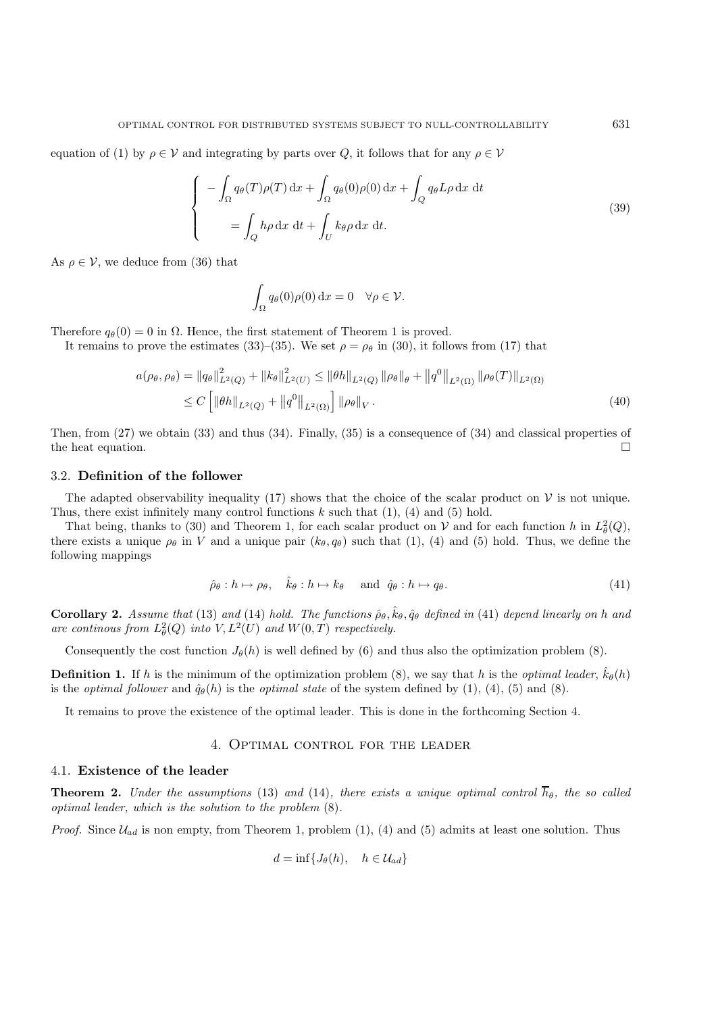equation of (1) by  $\rho \in \mathcal{V}$  and integrating by parts over Q, it follows that for any  $\rho \in \mathcal{V}$ 

$$
\begin{cases}\n-\int_{\Omega} q_{\theta}(T)\rho(T) dx + \int_{\Omega} q_{\theta}(0)\rho(0) dx + \int_{Q} q_{\theta}L\rho dx dt \\
= \int_{Q} h\rho dx dt + \int_{U} k_{\theta}\rho dx dt.\n\end{cases}
$$
\n(39)

As  $\rho \in \mathcal{V}$ , we deduce from (36) that

$$
\int_{\Omega} q_{\theta}(0)\rho(0) \, \mathrm{d}x = 0 \quad \forall \rho \in \mathcal{V}.
$$

Therefore  $q_{\theta}(0) = 0$  in  $\Omega$ . Hence, the first statement of Theorem 1 is proved.

It remains to prove the estimates (33)–(35). We set  $\rho = \rho_\theta$  in (30), it follows from (17) that

$$
a(\rho_{\theta}, \rho_{\theta}) = ||q_{\theta}||_{L^{2}(Q)}^{2} + ||k_{\theta}||_{L^{2}(U)}^{2} \le ||\theta h||_{L^{2}(Q)} ||\rho_{\theta}||_{\theta} + ||q^{0}||_{L^{2}(\Omega)} ||\rho_{\theta}(T)||_{L^{2}(\Omega)}
$$
  
\n
$$
\le C \left[ ||\theta h||_{L^{2}(Q)} + ||q^{0}||_{L^{2}(\Omega)} \right] ||\rho_{\theta}||_{V}.
$$
\n(40)

Then, from (27) we obtain (33) and thus (34). Finally, (35) is a consequence of (34) and classical properties of the heat equation.  $\Box$ 

#### 3.2. **Definition of the follower**

The adapted observability inequality (17) shows that the choice of the scalar product on  $\mathcal V$  is not unique. Thus, there exist infinitely many control functions  $k$  such that  $(1)$ ,  $(4)$  and  $(5)$  hold.

That being, thanks to (30) and Theorem 1, for each scalar product on V and for each function h in  $L^2_{\theta}(Q)$ , there exists a unique  $\rho_{\theta}$  in V and a unique pair  $(k_{\theta}, q_{\theta})$  such that (1), (4) and (5) hold. Thus, we define the following mappings

$$
\hat{\rho}_{\theta}: h \mapsto \rho_{\theta}, \quad \hat{k}_{\theta}: h \mapsto k_{\theta} \quad \text{and} \quad \hat{q}_{\theta}: h \mapsto q_{\theta}.
$$
\n
$$
(41)
$$

**Corollary 2.** Assume that (13) and (14) hold. The functions  $\hat{\rho}_{\theta}$ ,  $\hat{k}_{\theta}$ ,  $\hat{q}_{\theta}$  defined in (41) depend linearly on h and are continous from  $L^2_{\theta}(Q)$  into  $V, L^2(U)$  and  $W(0,T)$  respectively.

Consequently the cost function  $J_{\theta}(h)$  is well defined by (6) and thus also the optimization problem (8).

**Definition 1.** If h is the minimum of the optimization problem (8), we say that h is the *optimal leader*,  $\hat{k}_{\theta}(h)$ is the *optimal follower* and  $\hat{q}_{\theta}(h)$  is the *optimal state* of the system defined by (1), (4), (5) and (8).

It remains to prove the existence of the optimal leader. This is done in the forthcoming Section 4.

### 4. Optimal control for the leader

### 4.1. **Existence of the leader**

**Theorem 2.** *Under the assumptions* (13) *and* (14)*, there exists a unique optimal control*  $\overline{h}_{\theta}$ *, the so called optimal leader, which is the solution to the problem* (8)*.*

*Proof.* Since  $\mathcal{U}_{ad}$  is non empty, from Theorem 1, problem (1), (4) and (5) admits at least one solution. Thus

$$
d = \inf \{ J_{\theta}(h), \quad h \in \mathcal{U}_{ad} \}
$$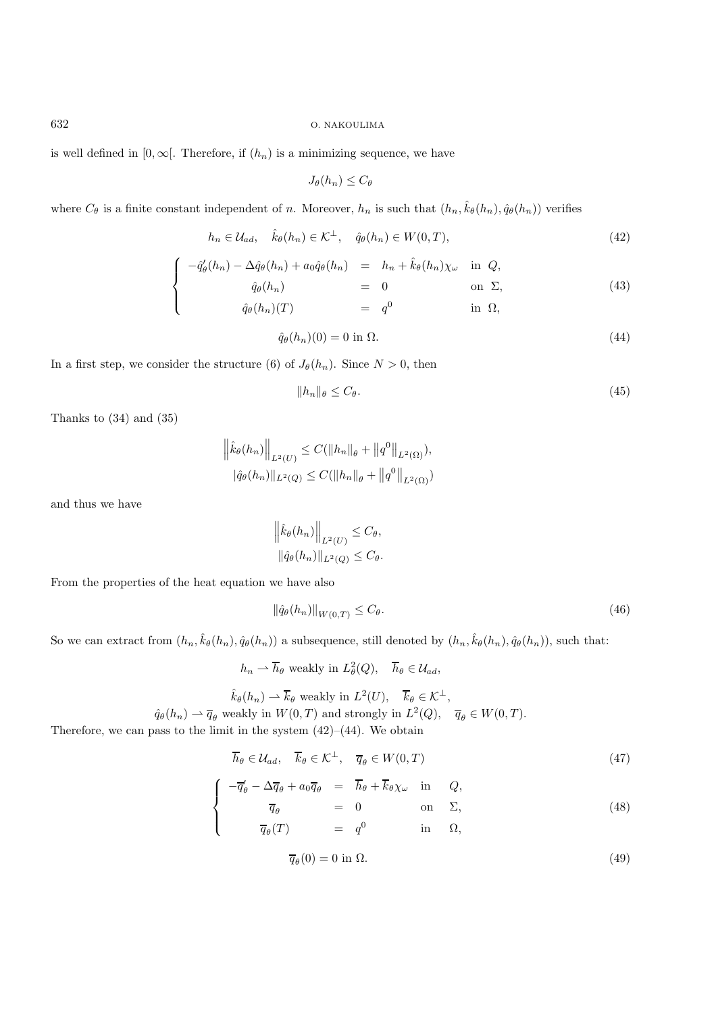is well defined in [0,  $\infty$ ]. Therefore, if  $(h_n)$  is a minimizing sequence, we have

$$
J_{\theta}(h_n) \leq C_{\theta}
$$

where  $C_{\theta}$  is a finite constant independent of n. Moreover,  $h_n$  is such that  $(h_n, \hat{k}_{\theta}(h_n), \hat{q}_{\theta}(h_n))$  verifies

$$
h_n \in \mathcal{U}_{ad}, \quad \hat{k}_{\theta}(h_n) \in \mathcal{K}^{\perp}, \quad \hat{q}_{\theta}(h_n) \in W(0, T), \tag{42}
$$

$$
\begin{cases}\n-\hat{q}'_{\theta}(h_n) - \Delta \hat{q}_{\theta}(h_n) + a_0 \hat{q}_{\theta}(h_n) & = h_n + \hat{k}_{\theta}(h_n) \chi_{\omega} & \text{in } Q, \\
\hat{q}_{\theta}(h_n) & = 0 & \text{on } \Sigma, \\
\hat{q}_{\theta}(h_n)(T) & = q^0 & \text{in } \Omega,\n\end{cases}
$$
\n(43)

$$
\hat{q}_{\theta}(h_n)(0) = 0 \text{ in } \Omega. \tag{44}
$$

In a first step, we consider the structure (6) of  $J_{\theta}(h_n)$ . Since  $N > 0$ , then

$$
||h_n||_{\theta} \le C_{\theta}.\tag{45}
$$

Thanks to (34) and (35)

$$
\left\|\hat{k}_{\theta}(h_n)\right\|_{L^2(U)} \leq C(\|h_n\|_{\theta} + \|q^0\|_{L^2(\Omega)}),
$$
  

$$
|\hat{q}_{\theta}(h_n)\|_{L^2(Q)} \leq C(\|h_n\|_{\theta} + \|q^0\|_{L^2(\Omega)})
$$

and thus we have

$$
\left\|\hat{k}_{\theta}(h_n)\right\|_{L^2(U)} \leq C_{\theta},
$$
  

$$
\|\hat{q}_{\theta}(h_n)\|_{L^2(Q)} \leq C_{\theta}.
$$

From the properties of the heat equation we have also

$$
\|\hat{q}_{\theta}(h_n)\|_{W(0,T)} \le C_{\theta}.\tag{46}
$$

So we can extract from  $(h_n, \hat{k}_{\theta}(h_n), \hat{q}_{\theta}(h_n))$  a subsequence, still denoted by  $(h_n, \hat{k}_{\theta}(h_n), \hat{q}_{\theta}(h_n))$ , such that:

$$
h_n \rightharpoonup \overline{h}_{\theta} \text{ weakly in } L^2_{\theta}(Q), \quad \overline{h}_{\theta} \in \mathcal{U}_{ad},
$$
  

$$
\hat{k}_{\theta}(h_n) \rightharpoonup \overline{k}_{\theta} \text{ weakly in } L^2(U), \quad \overline{k}_{\theta} \in \mathcal{K}^{\perp},
$$

 $\hat{q}_{\theta}(h_n) \rightharpoonup \overline{q}_{\theta}$  weakly in  $W(0,T)$  and strongly in  $L^2(Q)$ ,  $\overline{q}_{\theta} \in W(0,T)$ .

Therefore, we can pass to the limit in the system  $(42)$ – $(44)$ . We obtain

$$
\overline{h}_{\theta} \in \mathcal{U}_{ad}, \quad \overline{k}_{\theta} \in \mathcal{K}^{\perp}, \quad \overline{q}_{\theta} \in W(0, T) \tag{47}
$$

$$
\begin{cases}\n-\overline{q}_{\theta}^{\prime} - \Delta \overline{q}_{\theta} + a_0 \overline{q}_{\theta} & = \overline{h}_{\theta} + \overline{k}_{\theta} \chi_{\omega} \text{ in } Q, \\
\overline{q}_{\theta} & = 0 \text{ on } \Sigma, \\
\overline{q}_{\theta}(T) & = q^0 \text{ in } \Omega,\n\end{cases}
$$
\n(48)

$$
\overline{q}_{\theta}(0) = 0 \text{ in } \Omega. \tag{49}
$$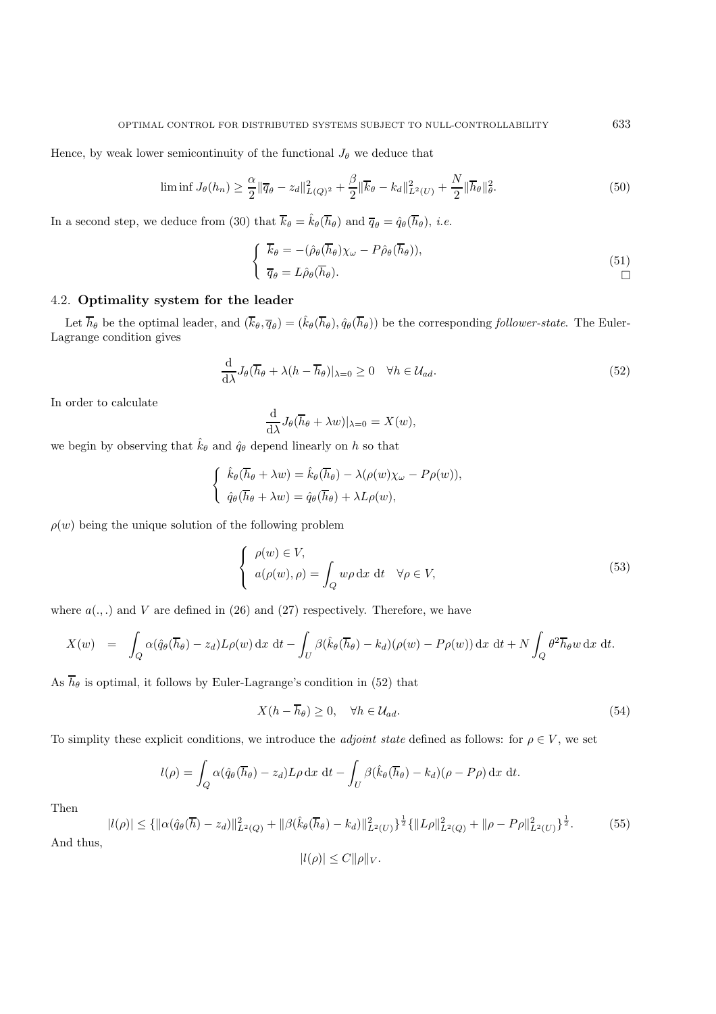Hence, by weak lower semicontinuity of the functional  $J_{\theta}$  we deduce that

$$
\liminf J_{\theta}(h_n) \ge \frac{\alpha}{2} \|\overline{q}_{\theta} - z_d\|_{L(Q)^2}^2 + \frac{\beta}{2} \|\overline{k}_{\theta} - k_d\|_{L^2(U)}^2 + \frac{N}{2} \|\overline{h}_{\theta}\|_{\theta}^2.
$$
\n(50)

In a second step, we deduce from (30) that  $\overline{k}_{\theta} = \hat{k}_{\theta}(\overline{h}_{\theta})$  and  $\overline{q}_{\theta} = \hat{q}_{\theta}(\overline{h}_{\theta})$ , *i.e.* 

$$
\begin{cases}\n\overline{k}_{\theta} = -(\hat{\rho}_{\theta}(\overline{h}_{\theta})\chi_{\omega} - P\hat{\rho}_{\theta}(\overline{h}_{\theta})), \n\overline{q}_{\theta} = L\hat{\rho}_{\theta}(\overline{h}_{\theta}).\n\end{cases}
$$
\n(51)

# 4.2. **Optimality system for the leader**

Let  $\overline{h}_{\theta}$  be the optimal leader, and  $(\overline{k}_{\theta}, \overline{q}_{\theta}) = (\hat{k}_{\theta}(\overline{h}_{\theta}), \hat{q}_{\theta}(\overline{h}_{\theta}))$  be the corresponding *follower-state*. The Euler-Lagrange condition gives

$$
\frac{\mathrm{d}}{\mathrm{d}\lambda}J_{\theta}(\overline{h}_{\theta} + \lambda(h - \overline{h}_{\theta})|_{\lambda=0} \ge 0 \quad \forall h \in \mathcal{U}_{ad}.\tag{52}
$$

In order to calculate

$$
\frac{\mathrm{d}}{\mathrm{d}\lambda}J_{\theta}(\overline{h}_{\theta}+\lambda w)|_{\lambda=0}=X(w),
$$

we begin by observing that  $\hat{k}_{\theta}$  and  $\hat{q}_{\theta}$  depend linearly on h so that

$$
\begin{cases} \hat{k}_{\theta}(\overline{h}_{\theta} + \lambda w) = \hat{k}_{\theta}(\overline{h}_{\theta}) - \lambda(\rho(w)\chi_{\omega} - P\rho(w)), \\ \hat{q}_{\theta}(\overline{h}_{\theta} + \lambda w) = \hat{q}_{\theta}(\overline{h}_{\theta}) + \lambda L\rho(w), \end{cases}
$$

 $\rho(w)$  being the unique solution of the following problem

$$
\begin{cases}\n\rho(w) \in V, \\
a(\rho(w), \rho) = \int_Q w\rho \,dx \,dt \quad \forall \rho \in V,\n\end{cases}
$$
\n(53)

where  $a(.,.)$  and V are defined in (26) and (27) respectively. Therefore, we have

$$
X(w) = \int_{Q} \alpha(\hat{q}_{\theta}(\overline{h}_{\theta}) - z_{d}) L \rho(w) dx dt - \int_{U} \beta(\hat{k}_{\theta}(\overline{h}_{\theta}) - k_{d}) (\rho(w) - P\rho(w)) dx dt + N \int_{Q} \theta^{2} \overline{h}_{\theta} w dx dt.
$$

As  $\overline{h}_{\theta}$  is optimal, it follows by Euler-Lagrange's condition in (52) that

$$
X(h - \overline{h}_{\theta}) \ge 0, \quad \forall h \in \mathcal{U}_{ad}.\tag{54}
$$

To simplity these explicit conditions, we introduce the *adjoint state* defined as follows: for  $\rho \in V$ , we set

$$
l(\rho) = \int_Q \alpha(\hat{q}_\theta(\overline{h}_\theta) - z_d) L\rho \,dx \,dt - \int_U \beta(\hat{k}_\theta(\overline{h}_\theta) - k_d)(\rho - P\rho) \,dx \,dt.
$$

Then

$$
|l(\rho)| \leq {\| \alpha(\hat{q}_{\theta}(\overline{h}) - z_d) \|_{L^2(Q)}^2 + \| \beta(\hat{k}_{\theta}(\overline{h}_{\theta}) - k_d) \|_{L^2(U)}^2}^{\frac{1}{2}} \{ \|L\rho\|_{L^2(Q)}^2 + \| \rho - P\rho \|_{L^2(U)}^2 \}^{\frac{1}{2}}.
$$
 (55)

$$
|l(\rho)| \le C ||\rho||_V.
$$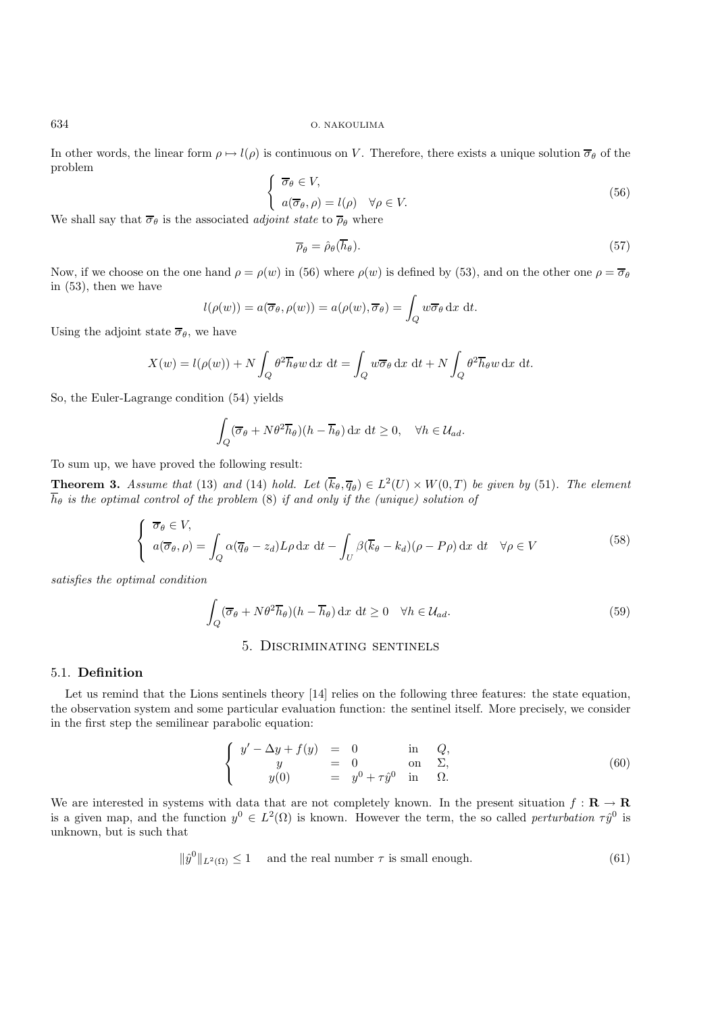In other words, the linear form  $\rho \mapsto l(\rho)$  is continuous on V. Therefore, there exists a unique solution  $\overline{\sigma}_{\theta}$  of the problem

$$
\begin{cases}\n\overline{\sigma}_{\theta} \in V, \na(\overline{\sigma}_{\theta}, \rho) = l(\rho) \quad \forall \rho \in V. \n\text{isint state to } \overline{\sigma} \text{ when } \alpha\n\end{cases}
$$
\n(56)

We shall say that  $\overline{\sigma}_{\theta}$  is the associated *adjoint state* to  $\overline{\rho}_{\theta}$  where

$$
\overline{\rho}_{\theta} = \hat{\rho}_{\theta}(\overline{h}_{\theta}).\tag{57}
$$

Now, if we choose on the one hand  $\rho = \rho(w)$  in (56) where  $\rho(w)$  is defined by (53), and on the other one  $\rho = \overline{\sigma}_{\theta}$ in (53), then we have

$$
l(\rho(w)) = a(\overline{\sigma}_{\theta}, \rho(w)) = a(\rho(w), \overline{\sigma}_{\theta}) = \int_{Q} w \overline{\sigma}_{\theta} dx dt.
$$

Using the adjoint state  $\overline{\sigma}_{\theta}$ , we have

$$
X(w) = l(\rho(w)) + N \int_Q \theta^2 \overline{h}_{\theta} w \, dx \, dt = \int_Q w \overline{\sigma}_{\theta} dx \, dt + N \int_Q \theta^2 \overline{h}_{\theta} w \, dx \, dt.
$$

So, the Euler-Lagrange condition (54) yields

$$
\int_{Q} (\overline{\sigma}_{\theta} + N\theta^{2} \overline{h}_{\theta})(h - \overline{h}_{\theta}) dx dt \ge 0, \quad \forall h \in \mathcal{U}_{ad}.
$$

To sum up, we have proved the following result:

**Theorem 3.** *Assume that* (13) *and* (14) *hold.* Let  $(\overline{k}_{\theta}, \overline{q}_{\theta}) \in L^2(U) \times W(0,T)$  *be given by* (51). The element  $\overline{h}_{\theta}$  *is the optimal control of the problem* (8) *if and only if the (unique) solution of* 

$$
\begin{cases} \overline{\sigma}_{\theta} \in V, \\ a(\overline{\sigma}_{\theta}, \rho) = \int_{Q} \alpha(\overline{q}_{\theta} - z_{d}) L \rho \, dx \, dt - \int_{U} \beta(\overline{k}_{\theta} - k_{d}) (\rho - P \rho) \, dx \, dt \quad \forall \rho \in V \end{cases}
$$
(58)

*satisfies the optimal condition*

$$
\int_{Q} (\overline{\sigma}_{\theta} + N\theta^{2}\overline{h}_{\theta})(h - \overline{h}_{\theta}) dx dt \ge 0 \quad \forall h \in \mathcal{U}_{ad}.
$$
\n(59)

## 5. Discriminating sentinels

#### 5.1. **Definition**

Let us remind that the Lions sentinels theory [14] relies on the following three features: the state equation, the observation system and some particular evaluation function: the sentinel itself. More precisely, we consider in the first step the semilinear parabolic equation:

$$
\begin{cases}\n y' - \Delta y + f(y) &= 0 & \text{in } Q, \\
 y &= 0 & \text{on } \Sigma, \\
 y(0) &= y^0 + \tau \hat{y}^0 & \text{in } \Omega.\n\end{cases}
$$
\n(60)

We are interested in systems with data that are not completely known. In the present situation  $f : \mathbf{R} \to \mathbf{R}$ is a given map, and the function  $y^0 \in L^2(\Omega)$  is known. However the term, the so called *perturbation*  $\tau \hat{y}^0$  is unknown, but is such that

$$
\|\hat{y}^0\|_{L^2(\Omega)} \le 1 \quad \text{ and the real number } \tau \text{ is small enough.} \tag{61}
$$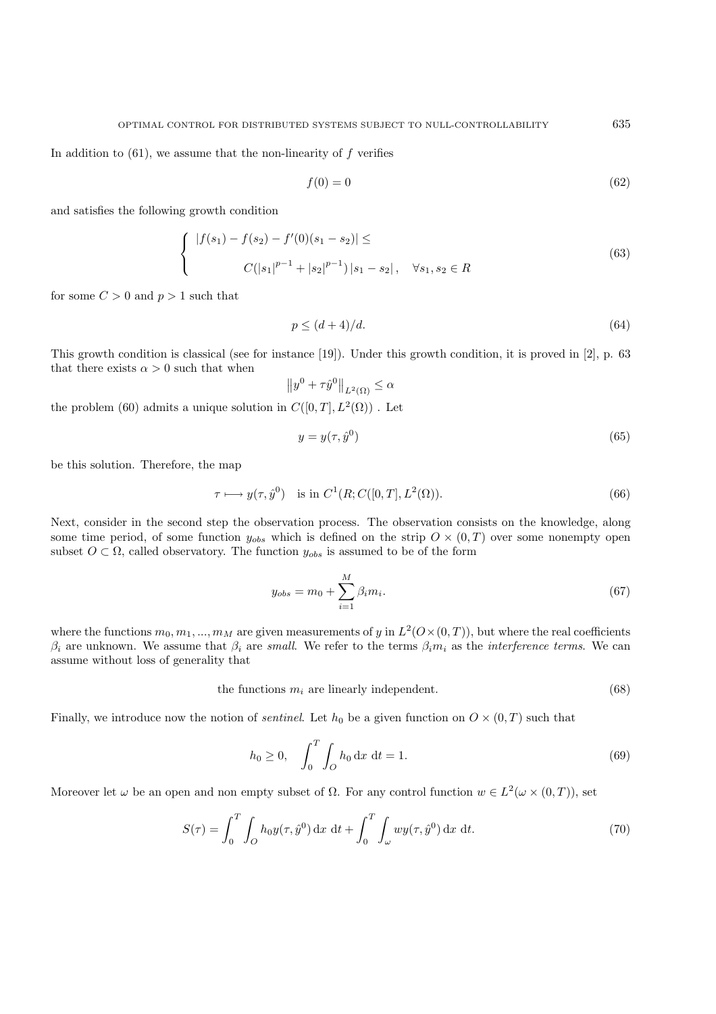In addition to  $(61)$ , we assume that the non-linearity of f verifies

$$
f(0) = 0 \tag{62}
$$

and satisfies the following growth condition

$$
\begin{cases} |f(s_1) - f(s_2) - f'(0)(s_1 - s_2)| \leq \\ C(|s_1|^{p-1} + |s_2|^{p-1}) |s_1 - s_2|, \quad \forall s_1, s_2 \in R \end{cases}
$$
(63)

for some  $C > 0$  and  $p > 1$  such that

$$
p \le (d+4)/d. \tag{64}
$$

This growth condition is classical (see for instance [19]). Under this growth condition, it is proved in [2], p. 63 that there exists  $\alpha > 0$  such that when

$$
||y^0 + \tau \hat{y}^0||_{L^2(\Omega)} \le \alpha
$$

the problem (60) admits a unique solution in  $C([0, T], L<sup>2</sup>(\Omega))$ . Let

$$
y = y(\tau, \hat{y}^0) \tag{65}
$$

be this solution. Therefore, the map

$$
\tau \longmapsto y(\tau, \hat{y}^0) \quad \text{is in } C^1(R; C([0, T], L^2(\Omega)). \tag{66}
$$

Next, consider in the second step the observation process. The observation consists on the knowledge, along some time period, of some function  $y_{obs}$  which is defined on the strip  $O \times (0,T)$  over some nonempty open subset  $O \subset \Omega$ , called observatory. The function  $y_{obs}$  is assumed to be of the form

$$
y_{obs} = m_0 + \sum_{i=1}^{M} \beta_i m_i.
$$
 (67)

where the functions  $m_0, m_1, ..., m_M$  are given measurements of y in  $L^2(0\times(0,T))$ , but where the real coefficients  $\beta_i$  are unknown. We assume that  $\beta_i$  are *small*. We refer to the terms  $\beta_i m_i$  as the *interference terms*. We can assume without loss of generality that

the functions 
$$
m_i
$$
 are linearly independent.  $(68)$ 

Finally, we introduce now the notion of *sentinel*. Let  $h_0$  be a given function on  $O \times (0,T)$  such that

$$
h_0 \ge 0, \quad \int_0^T \int_O h_0 \, \mathrm{d}x \, \mathrm{d}t = 1. \tag{69}
$$

Moreover let  $\omega$  be an open and non empty subset of  $\Omega$ . For any control function  $w \in L^2(\omega \times (0,T))$ , set

$$
S(\tau) = \int_0^T \int_O h_0 y(\tau, \hat{y}^0) \, \mathrm{d}x \, \mathrm{d}t + \int_0^T \int_\omega w y(\tau, \hat{y}^0) \, \mathrm{d}x \, \mathrm{d}t. \tag{70}
$$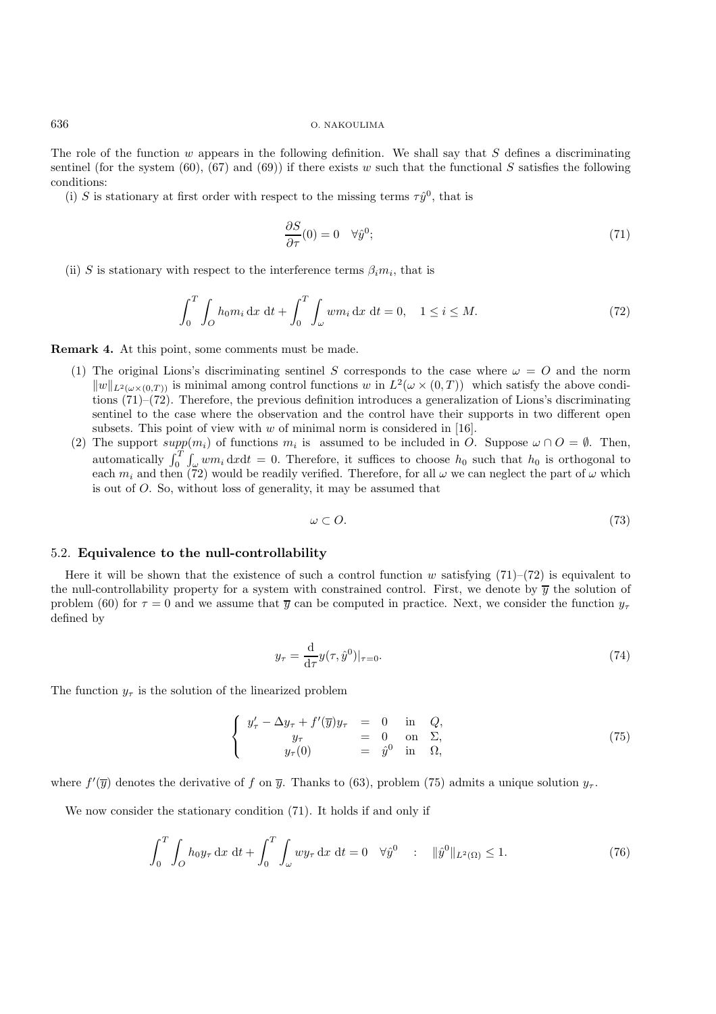The role of the function  $w$  appears in the following definition. We shall say that  $S$  defines a discriminating sentinel (for the system  $(60)$ ,  $(67)$  and  $(69)$ ) if there exists w such that the functional S satisfies the following conditions:

(i) S is stationary at first order with respect to the missing terms  $\tau \hat{y}^0$ , that is

$$
\frac{\partial S}{\partial \tau}(0) = 0 \quad \forall \hat{y}^0; \tag{71}
$$

(ii) S is stationary with respect to the interference terms  $\beta_i m_i$ , that is

$$
\int_0^T \int_0 h_0 m_i \, dx \, dt + \int_0^T \int_\omega w m_i \, dx \, dt = 0, \quad 1 \le i \le M. \tag{72}
$$

**Remark 4.** At this point, some comments must be made.

- (1) The original Lions's discriminating sentinel S corresponds to the case where  $\omega = O$  and the norm  $||w||_{L^2(\omega\times(0,T))}$  is minimal among control functions w in  $L^2(\omega\times(0,T))$  which satisfy the above conditions (71)–(72). Therefore, the previous definition introduces a generalization of Lions's discriminating sentinel to the case where the observation and the control have their supports in two different open subsets. This point of view with  $w$  of minimal norm is considered in [16].
- (2) The support  $supp(m_i)$  of functions  $m_i$  is assumed to be included in O. Suppose  $\omega \cap O = \emptyset$ . Then, automatically  $\int_0^T \int_{\omega} w m_i \, dx dt = 0$ . Therefore, it suffices to choose  $h_0$  such that  $h_0$  is orthogonal to each  $m_i$  and then (72) would be readily verified. Therefore, for all  $\omega$  we can neglect the part of  $\omega$  which is out of O. So, without loss of generality, it may be assumed that

$$
\omega \subset O. \tag{73}
$$

#### 5.2. **Equivalence to the null-controllability**

Here it will be shown that the existence of such a control function w satisfying  $(71)$ – $(72)$  is equivalent to the null-controllability property for a system with constrained control. First, we denote by  $\overline{y}$  the solution of problem (60) for  $\tau = 0$  and we assume that  $\overline{y}$  can be computed in practice. Next, we consider the function  $y_{\tau}$ defined by

$$
y_{\tau} = \frac{\mathrm{d}}{\mathrm{d}\tau} y(\tau, \hat{y}^0)|_{\tau=0}.\tag{74}
$$

The function  $y_{\tau}$  is the solution of the linearized problem

$$
\begin{cases}\n y'_{\tau} - \Delta y_{\tau} + f'(\overline{y})y_{\tau} = 0 & \text{in } Q, \\
 y_{\tau} = 0 & \text{on } \Sigma, \\
 y_{\tau}(0) = \hat{y}^{0} & \text{in } \Omega,\n\end{cases}
$$
\n(75)

where  $f'(\overline{y})$  denotes the derivative of f on  $\overline{y}$ . Thanks to (63), problem (75) admits a unique solution  $y_{\tau}$ .

We now consider the stationary condition (71). It holds if and only if

$$
\int_0^T \int_O h_0 y_\tau \, dx \, dt + \int_0^T \int_\omega w y_\tau \, dx \, dt = 0 \quad \forall \hat{y}^0 \quad : \quad \|\hat{y}^0\|_{L^2(\Omega)} \le 1. \tag{76}
$$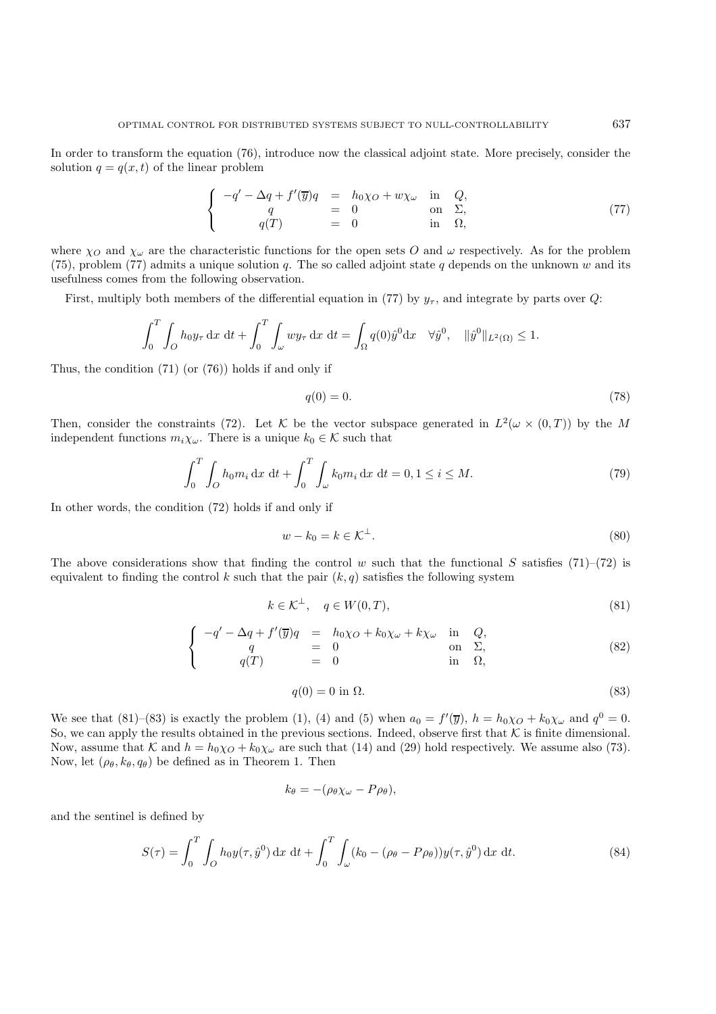In order to transform the equation (76), introduce now the classical adjoint state. More precisely, consider the solution  $q = q(x, t)$  of the linear problem

$$
\begin{cases}\n-q' - \Delta q + f'(\overline{y})q &= h_0 \chi_O + w \chi_\omega \text{ in } Q, \\
q &= 0 \text{ on } \Sigma, \\
q(T) &= 0 \text{ in } \Omega,\n\end{cases}
$$
\n(77)

where  $\chi_O$  and  $\chi_\omega$  are the characteristic functions for the open sets O and  $\omega$  respectively. As for the problem (75), problem (77) admits a unique solution  $q$ . The so called adjoint state  $q$  depends on the unknown  $w$  and its usefulness comes from the following observation.

First, multiply both members of the differential equation in (77) by  $y_{\tau}$ , and integrate by parts over Q:

$$
\int_0^T \int_O h_0 y_\tau \, dx \, dt + \int_0^T \int_\omega w y_\tau \, dx \, dt = \int_\Omega q(0) \hat{y}^0 dx \quad \forall \hat{y}^0, \quad \|\hat{y}^0\|_{L^2(\Omega)} \le 1.
$$

Thus, the condition (71) (or (76)) holds if and only if

$$
q(0) = 0.\tag{78}
$$

Then, consider the constraints (72). Let K be the vector subspace generated in  $L^2(\omega \times (0,T))$  by the M independent functions  $m_i\chi_\omega$ . There is a unique  $k_0 \in \mathcal{K}$  such that

$$
\int_0^T \int_O h_0 m_i \, dx \, dt + \int_0^T \int_\omega k_0 m_i \, dx \, dt = 0, 1 \le i \le M. \tag{79}
$$

In other words, the condition (72) holds if and only if

$$
w - k_0 = k \in \mathcal{K}^\perp. \tag{80}
$$

The above considerations show that finding the control w such that the functional S satisfies (71)–(72) is equivalent to finding the control k such that the pair  $(k, q)$  satisfies the following system

$$
k \in \mathcal{K}^{\perp}, \quad q \in W(0, T), \tag{81}
$$

$$
\begin{cases}\n-q' - \Delta q + f'(\overline{y})q &= h_0 \chi_0 + k_0 \chi_\omega + k \chi_\omega \text{ in } Q, \\
q &= 0 \text{ on } \Sigma, \\
q(T) &= 0 \text{ in } \Omega,\n\end{cases}
$$
\n(82)

$$
q(0) = 0 \text{ in } \Omega. \tag{83}
$$

We see that (81)–(83) is exactly the problem (1), (4) and (5) when  $a_0 = f'(\overline{y})$ ,  $h = h_0 \chi_O + k_0 \chi_\omega$  and  $q^0 = 0$ . So, we can apply the results obtained in the previous sections. Indeed, observe first that  $K$  is finite dimensional. Now, assume that K and  $h = h_0 \chi_O + k_0 \chi_\omega$  are such that (14) and (29) hold respectively. We assume also (73). Now, let  $(\rho_{\theta}, k_{\theta}, q_{\theta})$  be defined as in Theorem 1. Then

$$
k_{\theta} = -(\rho_{\theta} \chi_{\omega} - P \rho_{\theta}),
$$

and the sentinel is defined by

$$
S(\tau) = \int_0^T \int_O h_0 y(\tau, \hat{y}^0) \, dx \, dt + \int_0^T \int_{\omega} (k_0 - (\rho_\theta - P_{\rho_\theta})) y(\tau, \hat{y}^0) \, dx \, dt. \tag{84}
$$